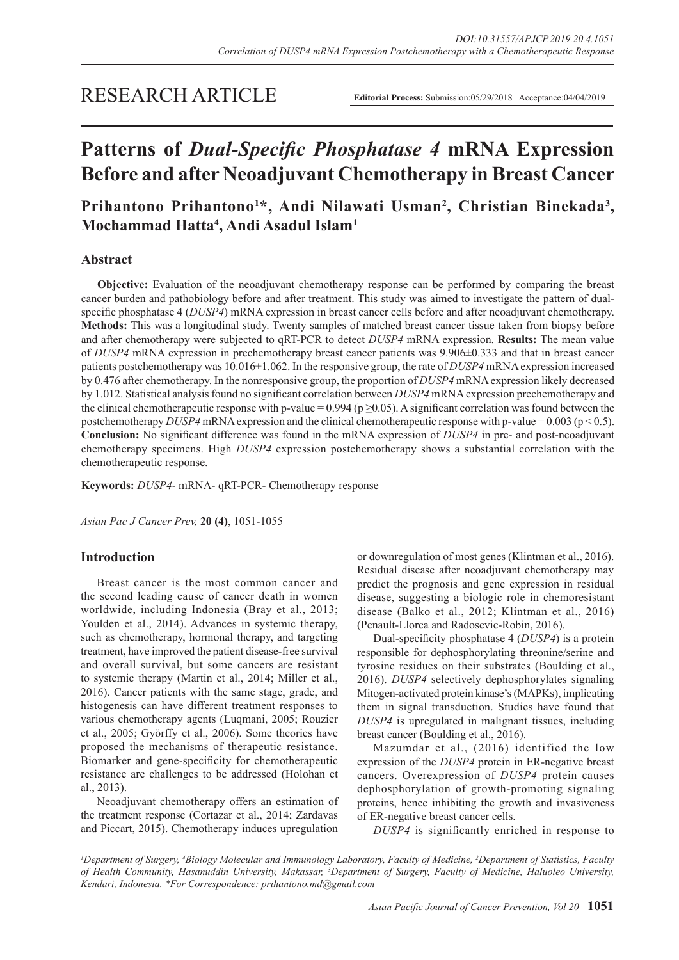# RESEARCH ARTICLE

**Editorial Process:** Submission:05/29/2018 Acceptance:04/04/2019

# **Patterns of** *Dual-Specific Phosphatase 4* **mRNA Expression Before and after Neoadjuvant Chemotherapy in Breast Cancer**

## Prihantono Prihantono<sup>1\*</sup>, Andi Nilawati Usman<sup>2</sup>, Christian Binekada<sup>3</sup>, **Mochammad Hatta4 , Andi Asadul Islam1**

## **Abstract**

**Objective:** Evaluation of the neoadjuvant chemotherapy response can be performed by comparing the breast cancer burden and pathobiology before and after treatment. This study was aimed to investigate the pattern of dualspecific phosphatase 4 (*DUSP4*) mRNA expression in breast cancer cells before and after neoadjuvant chemotherapy. **Methods:** This was a longitudinal study. Twenty samples of matched breast cancer tissue taken from biopsy before and after chemotherapy were subjected to qRT-PCR to detect *DUSP4* mRNA expression. **Results:** The mean value of *DUSP4* mRNA expression in prechemotherapy breast cancer patients was 9.906±0.333 and that in breast cancer patients postchemotherapy was 10.016±1.062. In the responsive group, the rate of *DUSP4* mRNA expression increased by 0.476 after chemotherapy. In the nonresponsive group, the proportion of *DUSP4* mRNA expression likely decreased by 1.012. Statistical analysis found no significant correlation between *DUSP4* mRNA expression prechemotherapy and the clinical chemotherapeutic response with p-value = 0.994 ( $p \ge 0.05$ ). A significant correlation was found between the postchemotherapy *DUSP4* mRNA expression and the clinical chemotherapeutic response with p-value = 0.003 (p < 0.5). **Conclusion:** No significant difference was found in the mRNA expression of *DUSP4* in pre- and post-neoadjuvant chemotherapy specimens. High *DUSP4* expression postchemotherapy shows a substantial correlation with the chemotherapeutic response.

**Keywords:** *DUSP4*- mRNA- qRT-PCR- Chemotherapy response

*Asian Pac J Cancer Prev,* **20 (4)**, 1051-1055

## **Introduction**

Breast cancer is the most common cancer and the second leading cause of cancer death in women worldwide, including Indonesia (Bray et al., 2013; Youlden et al., 2014). Advances in systemic therapy, such as chemotherapy, hormonal therapy, and targeting treatment, have improved the patient disease-free survival and overall survival, but some cancers are resistant to systemic therapy (Martin et al., 2014; Miller et al., 2016). Cancer patients with the same stage, grade, and histogenesis can have different treatment responses to various chemotherapy agents (Luqmani, 2005; Rouzier et al., 2005; Györffy et al., 2006). Some theories have proposed the mechanisms of therapeutic resistance. Biomarker and gene-specificity for chemotherapeutic resistance are challenges to be addressed (Holohan et al., 2013).

Neoadjuvant chemotherapy offers an estimation of the treatment response (Cortazar et al., 2014; Zardavas and Piccart, 2015). Chemotherapy induces upregulation

or downregulation of most genes (Klintman et al., 2016). Residual disease after neoadjuvant chemotherapy may predict the prognosis and gene expression in residual disease, suggesting a biologic role in chemoresistant disease (Balko et al., 2012; Klintman et al., 2016) (Penault-Llorca and Radosevic-Robin, 2016).

Dual-specificity phosphatase 4 (*DUSP4*) is a protein responsible for dephosphorylating threonine/serine and tyrosine residues on their substrates (Boulding et al., 2016). *DUSP4* selectively dephosphorylates signaling Mitogen-activated protein kinase's (MAPKs), implicating them in signal transduction. Studies have found that *DUSP4* is upregulated in malignant tissues, including breast cancer (Boulding et al., 2016).

Mazumdar et al., (2016) identified the low expression of the *DUSP4* protein in ER-negative breast cancers. Overexpression of *DUSP4* protein causes dephosphorylation of growth-promoting signaling proteins, hence inhibiting the growth and invasiveness of ER-negative breast cancer cells.

*DUSP4* is significantly enriched in response to

*1 Department of Surgery, 4 Biology Molecular and Immunology Laboratory, Faculty of Medicine, 2 Department of Statistics, Faculty of Health Community, Hasanuddin University, Makassar, 3 Department of Surgery, Faculty of Medicine, Haluoleo University, Kendari, Indonesia. \*For Correspondence: prihantono.md@gmail.com*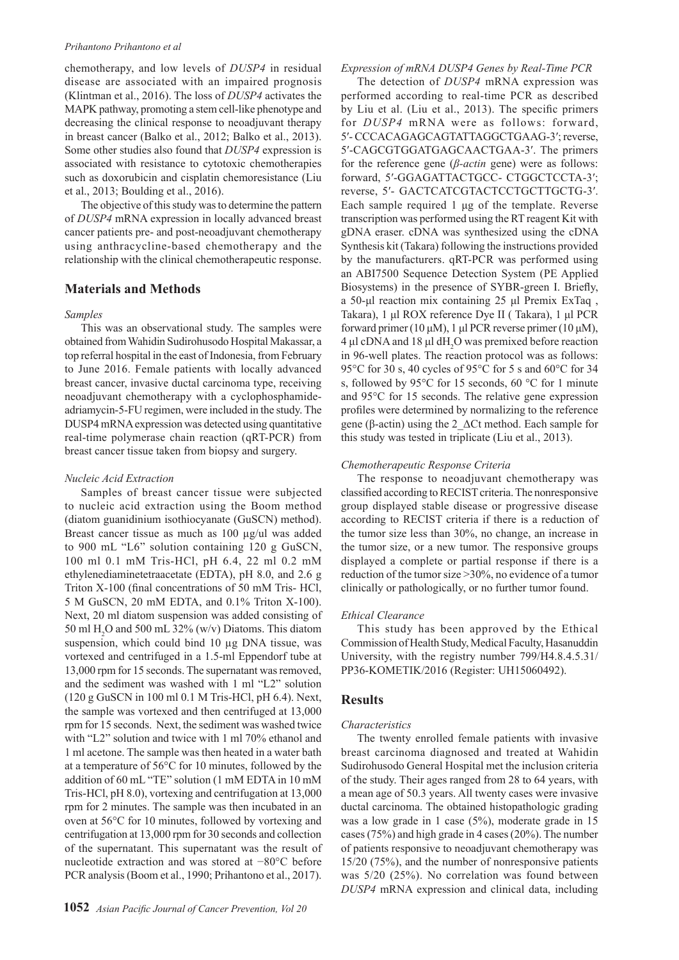#### *Prihantono Prihantono et al*

chemotherapy, and low levels of *DUSP4* in residual disease are associated with an impaired prognosis (Klintman et al., 2016). The loss of *DUSP4* activates the MAPK pathway, promoting a stem cell-like phenotype and decreasing the clinical response to neoadjuvant therapy in breast cancer (Balko et al., 2012; Balko et al., 2013). Some other studies also found that *DUSP4* expression is associated with resistance to cytotoxic chemotherapies such as doxorubicin and cisplatin chemoresistance (Liu et al., 2013; Boulding et al., 2016).

The objective of this study was to determine the pattern of *DUSP4* mRNA expression in locally advanced breast cancer patients pre- and post-neoadjuvant chemotherapy using anthracycline-based chemotherapy and the relationship with the clinical chemotherapeutic response.

## **Materials and Methods**

#### *Samples*

This was an observational study. The samples were obtained from Wahidin Sudirohusodo Hospital Makassar, a top referral hospital in the east of Indonesia, from February to June 2016. Female patients with locally advanced breast cancer, invasive ductal carcinoma type, receiving neoadjuvant chemotherapy with a cyclophosphamideadriamycin-5-FU regimen, were included in the study. The DUSP4 mRNA expression was detected using quantitative real-time polymerase chain reaction (qRT-PCR) from breast cancer tissue taken from biopsy and surgery.

#### *Nucleic Acid Extraction*

Samples of breast cancer tissue were subjected to nucleic acid extraction using the Boom method (diatom guanidinium isothiocyanate (GuSCN) method). Breast cancer tissue as much as 100 µg/ul was added to 900 mL "L6" solution containing 120 g GuSCN, 100 ml 0.1 mM Tris-HCl, pH 6.4, 22 ml 0.2 mM ethylenediaminetetraacetate (EDTA), pH 8.0, and 2.6 g Triton X-100 (final concentrations of 50 mM Tris- HCl, 5 M GuSCN, 20 mM EDTA, and 0.1% Triton X-100). Next, 20 ml diatom suspension was added consisting of 50 ml  $H_2$ O and 500 mL 32% (w/v) Diatoms. This diatom suspension, which could bind 10 µg DNA tissue, was vortexed and centrifuged in a 1.5-ml Eppendorf tube at 13,000 rpm for 15 seconds. The supernatant was removed, and the sediment was washed with 1 ml "L2" solution (120 g GuSCN in 100 ml 0.1 M Tris-HCl, pH 6.4). Next, the sample was vortexed and then centrifuged at 13,000 rpm for 15 seconds. Next, the sediment was washed twice with "L2" solution and twice with 1 ml 70% ethanol and 1 ml acetone. The sample was then heated in a water bath at a temperature of 56°C for 10 minutes, followed by the addition of 60 mL "TE" solution (1 mM EDTA in 10 mM Tris-HCl, pH 8.0), vortexing and centrifugation at 13,000 rpm for 2 minutes. The sample was then incubated in an oven at 56°C for 10 minutes, followed by vortexing and centrifugation at 13,000 rpm for 30 seconds and collection of the supernatant. This supernatant was the result of nucleotide extraction and was stored at −80°C before PCR analysis (Boom et al., 1990; Prihantono et al., 2017).

#### *Expression of mRNA DUSP4 Genes by Real-Time PCR*

The detection of *DUSP4* mRNA expression was performed according to real-time PCR as described by Liu et al. (Liu et al., 2013). The specific primers for *DUSP4* mRNA were as follows: forward, 5′- CCCACAGAGCAGTATTAGGCTGAAG-3′; reverse, 5′-CAGCGTGGATGAGCAACTGAA-3′. The primers for the reference gene (*β-actin* gene) were as follows: forward, 5′-GGAGATTACTGCC- CTGGCTCCTA-3′; reverse, 5′- GACTCATCGTACTCCTGCTTGCTG-3′. Each sample required 1 μg of the template. Reverse transcription was performed using the RT reagent Kit with gDNA eraser. cDNA was synthesized using the cDNA Synthesis kit (Takara) following the instructions provided by the manufacturers. qRT-PCR was performed using an ABI7500 Sequence Detection System (PE Applied Biosystems) in the presence of SYBR-green I. Briefly, a 50-μl reaction mix containing 25 μl Premix ExTaq , Takara), 1 μl ROX reference Dye II ( Takara), 1 μl PCR forward primer (10 μM), 1 μl PCR reverse primer (10 μM), 4 μl cDNA and 18 μl  $dH_2O$  was premixed before reaction in 96-well plates. The reaction protocol was as follows: 95°C for 30 s, 40 cycles of 95°C for 5 s and 60°C for 34 s, followed by 95°C for 15 seconds, 60 °C for 1 minute and 95°C for 15 seconds. The relative gene expression profiles were determined by normalizing to the reference gene (β-actin) using the 2  $\Delta$ Ct method. Each sample for this study was tested in triplicate (Liu et al., 2013).

#### *Chemotherapeutic Response Criteria*

The response to neoadjuvant chemotherapy was classified according to RECIST criteria. The nonresponsive group displayed stable disease or progressive disease according to RECIST criteria if there is a reduction of the tumor size less than 30%, no change, an increase in the tumor size, or a new tumor. The responsive groups displayed a complete or partial response if there is a reduction of the tumor size >30%, no evidence of a tumor clinically or pathologically, or no further tumor found.

#### *Ethical Clearance*

This study has been approved by the Ethical Commission of Health Study, Medical Faculty, Hasanuddin University, with the registry number 799/H4.8.4.5.31/ PP36-KOMETIK/2016 (Register: UH15060492).

#### **Results**

#### *Characteristics*

The twenty enrolled female patients with invasive breast carcinoma diagnosed and treated at Wahidin Sudirohusodo General Hospital met the inclusion criteria of the study. Their ages ranged from 28 to 64 years, with a mean age of 50.3 years. All twenty cases were invasive ductal carcinoma. The obtained histopathologic grading was a low grade in 1 case (5%), moderate grade in 15 cases (75%) and high grade in 4 cases (20%). The number of patients responsive to neoadjuvant chemotherapy was 15/20 (75%), and the number of nonresponsive patients was 5/20 (25%). No correlation was found between *DUSP4* mRNA expression and clinical data, including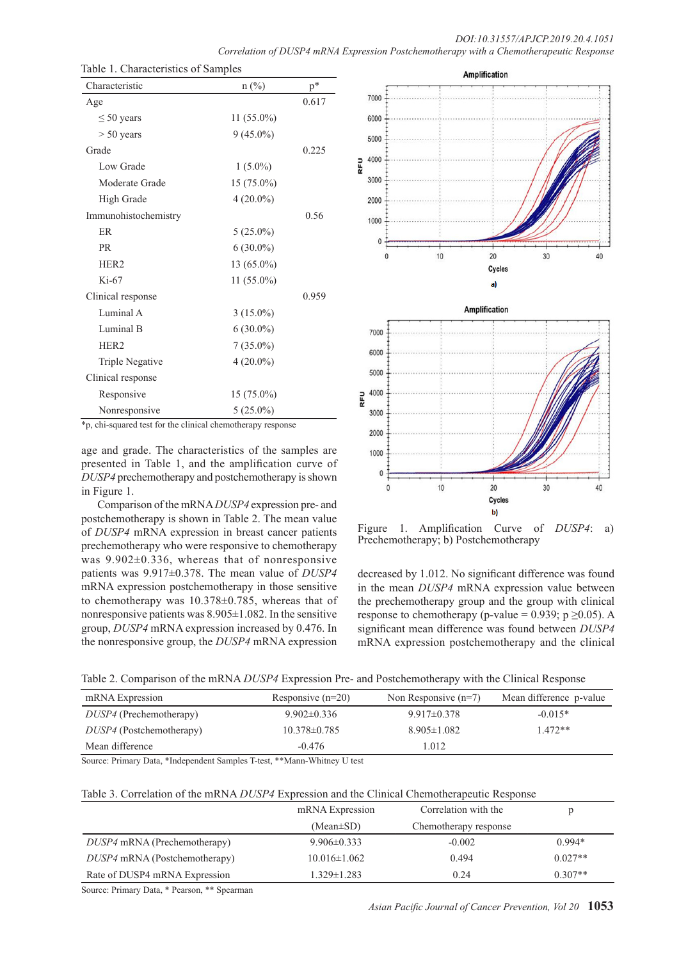| Characteristic         | $n$ (%)      | $\mathbf{p}^*$ |
|------------------------|--------------|----------------|
| Age                    |              | 0.617          |
| $\leq 50$ years        | $11(55.0\%)$ |                |
| $> 50$ years           | $9(45.0\%)$  |                |
| Grade                  |              | 0.225          |
| Low Grade              | $1(5.0\%)$   |                |
| Moderate Grade         | $15(75.0\%)$ |                |
| <b>High Grade</b>      | $4(20.0\%)$  |                |
| Immunohistochemistry   |              | 0.56           |
| <b>ER</b>              | $5(25.0\%)$  |                |
| <b>PR</b>              | $6(30.0\%)$  |                |
| HER <sub>2</sub>       | 13 (65.0%)   |                |
| $Ki-67$                | $11(55.0\%)$ |                |
| Clinical response      |              | 0.959          |
| Luminal A              | $3(15.0\%)$  |                |
| Luminal B              | $6(30.0\%)$  |                |
| HER <sub>2</sub>       | $7(35.0\%)$  |                |
| <b>Triple Negative</b> | $4(20.0\%)$  |                |
| Clinical response      |              |                |
| Responsive             | $15(75.0\%)$ |                |
| Nonresponsive          | $5(25.0\%)$  |                |

\*p, chi-squared test for the clinical chemotherapy response

age and grade. The characteristics of the samples are presented in Table 1, and the amplification curve of *DUSP4* prechemotherapy and postchemotherapy is shown in Figure 1.

Comparison of the mRNA *DUSP4* expression pre- and postchemotherapy is shown in Table 2. The mean value of *DUSP4* mRNA expression in breast cancer patients prechemotherapy who were responsive to chemotherapy was 9.902±0.336, whereas that of nonresponsive patients was 9.917±0.378. The mean value of *DUSP4* mRNA expression postchemotherapy in those sensitive to chemotherapy was 10.378±0.785, whereas that of nonresponsive patients was 8.905±1.082. In the sensitive group, *DUSP4* mRNA expression increased by 0.476. In the nonresponsive group, the *DUSP4* mRNA expression



Figure 1. Amplification Curve of *DUSP4*: a) Prechemotherapy; b) Postchemotherapy

decreased by 1.012. No significant difference was found in the mean *DUSP4* mRNA expression value between the prechemotherapy group and the group with clinical response to chemotherapy (p-value = 0.939; p  $\geq$ 0.05). A significant mean difference was found between *DUSP4* mRNA expression postchemotherapy and the clinical

|  |  |  | Table 2. Comparison of the mRNA DUSP4 Expression Pre- and Postchemotherapy with the Clinical Response |
|--|--|--|-------------------------------------------------------------------------------------------------------|
|  |  |  |                                                                                                       |

| mRNA Expression                 | Responsive $(n=20)$ | Non Responsive $(n=7)$ | Mean difference p-value |
|---------------------------------|---------------------|------------------------|-------------------------|
| <i>DUSP4</i> (Prechemotherapy)  | $9.902 \pm 0.336$   | $9.917\pm 0.378$       | $-0.015*$               |
| <i>DUSP4</i> (Postchemotherapy) | $10.378 \pm 0.785$  | $8.905 \pm 1.082$      | $1.472**$               |
| Mean difference                 | $-0.476$            | 1.012                  |                         |

Source: Primary Data, \*Independent Samples T-test, \*\*Mann-Whitney U test

| Table 3. Correlation of the mRNA DUSP4 Expression and the Clinical Chemotherapeutic Response |  |
|----------------------------------------------------------------------------------------------|--|
|----------------------------------------------------------------------------------------------|--|

|                               | mRNA Expression    | Correlation with the  |           |
|-------------------------------|--------------------|-----------------------|-----------|
|                               | $(Mean \pm SD)$    | Chemotherapy response |           |
| DUSP4 mRNA (Prechemotherapy)  | $9.906 \pm 0.333$  | $-0.002$              | $0.994*$  |
| DUSP4 mRNA (Postchemotherapy) | $10.016 \pm 1.062$ | 0.494                 | $0.027**$ |
| Rate of DUSP4 mRNA Expression | 1.329±1.283        | 0.24                  | $0.307**$ |

Source: Primary Data, \* Pearson, \*\* Spearman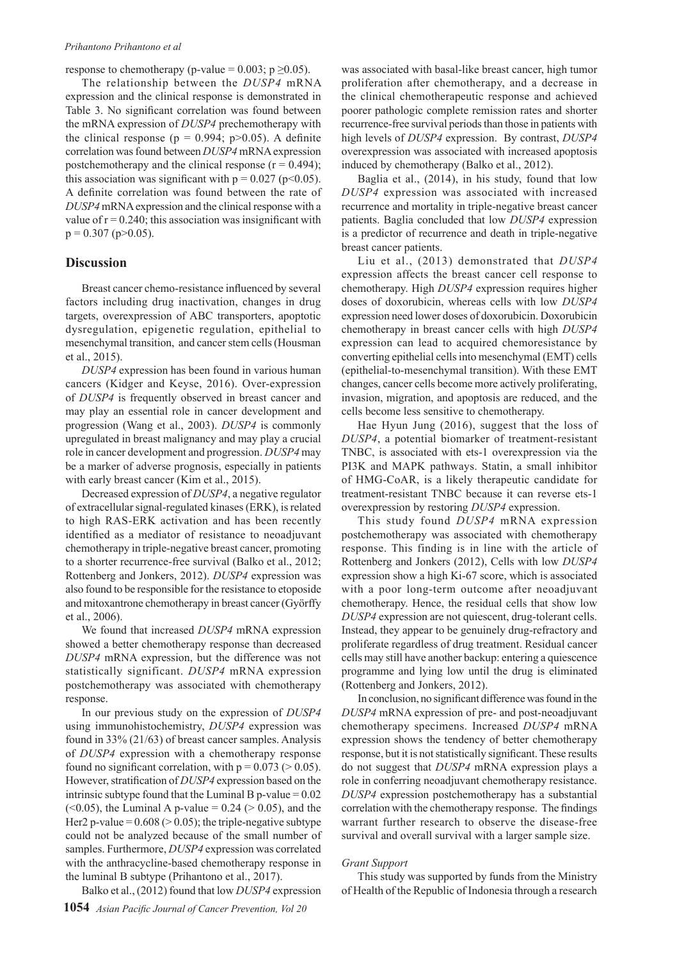response to chemotherapy (p-value =  $0.003$ ; p  $\geq 0.05$ ).

The relationship between the *DUSP4* mRNA expression and the clinical response is demonstrated in Table 3. No significant correlation was found between the mRNA expression of *DUSP4* prechemotherapy with the clinical response ( $p = 0.994$ ;  $p > 0.05$ ). A definite correlation was found between *DUSP4* mRNA expression postchemotherapy and the clinical response  $(r = 0.494)$ ; this association was significant with  $p = 0.027$  ( $p < 0.05$ ). A definite correlation was found between the rate of *DUSP4* mRNA expression and the clinical response with a value of  $r = 0.240$ ; this association was insignificant with  $p = 0.307$  ( $p > 0.05$ ).

## **Discussion**

Breast cancer chemo-resistance influenced by several factors including drug inactivation, changes in drug targets, overexpression of ABC transporters, apoptotic dysregulation, epigenetic regulation, epithelial to mesenchymal transition, and cancer stem cells (Housman et al., 2015).

*DUSP4* expression has been found in various human cancers (Kidger and Keyse, 2016). Over-expression of *DUSP4* is frequently observed in breast cancer and may play an essential role in cancer development and progression (Wang et al., 2003). *DUSP4* is commonly upregulated in breast malignancy and may play a crucial role in cancer development and progression. *DUSP4* may be a marker of adverse prognosis, especially in patients with early breast cancer (Kim et al., 2015).

Decreased expression of *DUSP4*, a negative regulator of extracellular signal-regulated kinases (ERK), is related to high RAS-ERK activation and has been recently identified as a mediator of resistance to neoadjuvant chemotherapy in triple-negative breast cancer, promoting to a shorter recurrence-free survival (Balko et al., 2012; Rottenberg and Jonkers, 2012). *DUSP4* expression was also found to be responsible for the resistance to etoposide and mitoxantrone chemotherapy in breast cancer (Györffy et al., 2006).

We found that increased *DUSP4* mRNA expression showed a better chemotherapy response than decreased *DUSP4* mRNA expression, but the difference was not statistically significant. *DUSP4* mRNA expression postchemotherapy was associated with chemotherapy response.

In our previous study on the expression of *DUSP4*  using immunohistochemistry, *DUSP4* expression was found in 33% (21/63) of breast cancer samples. Analysis of *DUSP4* expression with a chemotherapy response found no significant correlation, with  $p = 0.073$  ( $> 0.05$ ). However, stratification of *DUSP4* expression based on the intrinsic subtype found that the Luminal B p-value  $= 0.02$ (<0.05), the Luminal A p-value = 0.24 ( $> 0.05$ ), and the Her2 p-value =  $0.608$  ( $> 0.05$ ); the triple-negative subtype could not be analyzed because of the small number of samples. Furthermore, *DUSP4* expression was correlated with the anthracycline-based chemotherapy response in the luminal B subtype (Prihantono et al., 2017).

Balko et al., (2012) found that low *DUSP4* expression

was associated with basal-like breast cancer, high tumor proliferation after chemotherapy, and a decrease in the clinical chemotherapeutic response and achieved poorer pathologic complete remission rates and shorter recurrence-free survival periods than those in patients with high levels of *DUSP4* expression. By contrast, *DUSP4* overexpression was associated with increased apoptosis induced by chemotherapy (Balko et al., 2012).

Baglia et al., (2014), in his study, found that low *DUSP4* expression was associated with increased recurrence and mortality in triple-negative breast cancer patients. Baglia concluded that low *DUSP4* expression is a predictor of recurrence and death in triple-negative breast cancer patients.

Liu et al., (2013) demonstrated that *DUSP4* expression affects the breast cancer cell response to chemotherapy. High *DUSP4* expression requires higher doses of doxorubicin, whereas cells with low *DUSP4* expression need lower doses of doxorubicin. Doxorubicin chemotherapy in breast cancer cells with high *DUSP4* expression can lead to acquired chemoresistance by converting epithelial cells into mesenchymal (EMT) cells (epithelial-to-mesenchymal transition). With these EMT changes, cancer cells become more actively proliferating, invasion, migration, and apoptosis are reduced, and the cells become less sensitive to chemotherapy.

Hae Hyun Jung (2016), suggest that the loss of *DUSP4*, a potential biomarker of treatment-resistant TNBC, is associated with ets-1 overexpression via the PI3K and MAPK pathways. Statin, a small inhibitor of HMG-CoAR, is a likely therapeutic candidate for treatment-resistant TNBC because it can reverse ets-1 overexpression by restoring *DUSP4* expression.

This study found *DUSP4* mRNA expression postchemotherapy was associated with chemotherapy response. This finding is in line with the article of Rottenberg and Jonkers (2012), Cells with low *DUSP4*  expression show a high Ki-67 score, which is associated with a poor long-term outcome after neoadjuvant chemotherapy. Hence, the residual cells that show low *DUSP4* expression are not quiescent, drug-tolerant cells. Instead, they appear to be genuinely drug-refractory and proliferate regardless of drug treatment. Residual cancer cells may still have another backup: entering a quiescence programme and lying low until the drug is eliminated (Rottenberg and Jonkers, 2012).

In conclusion, no significant difference was found in the *DUSP4* mRNA expression of pre- and post-neoadjuvant chemotherapy specimens. Increased *DUSP4* mRNA expression shows the tendency of better chemotherapy response, but it is not statistically significant. These results do not suggest that *DUSP4* mRNA expression plays a role in conferring neoadjuvant chemotherapy resistance. *DUSP4* expression postchemotherapy has a substantial correlation with the chemotherapy response. The findings warrant further research to observe the disease-free survival and overall survival with a larger sample size.

#### *Grant Support*

This study was supported by funds from the Ministry of Health of the Republic of Indonesia through a research